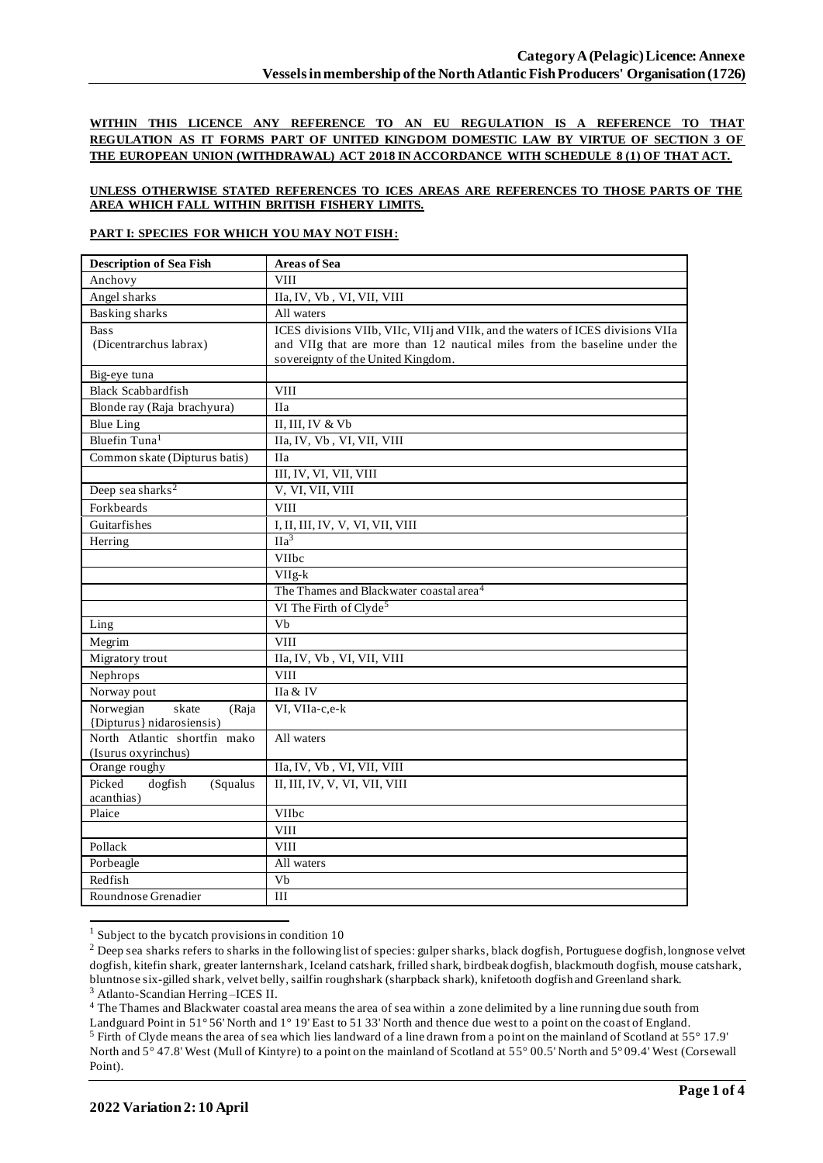**WITHIN THIS LICENCE ANY REFERENCE TO AN EU REGULATION IS A REFERENCE TO THAT REGULATION AS IT FORMS PART OF UNITED KINGDOM DOMESTIC LAW BY VIRTUE OF SECTION 3 OF THE EUROPEAN UNION (WITHDRAWAL) ACT 2018 IN ACCORDANCE WITH SCHEDULE 8 (1) OF THAT ACT.**

## **UNLESS OTHERWISE STATED REFERENCES TO ICES AREAS ARE REFERENCES TO THOSE PARTS OF THE AREA WHICH FALL WITHIN BRITISH FISHERY LIMITS.**

## **PART I: SPECIES FOR WHICH YOU MAY NOT FISH:**

| <b>Description of Sea Fish</b>    | <b>Areas of Sea</b>                                                             |
|-----------------------------------|---------------------------------------------------------------------------------|
| Anchovy                           | <b>VIII</b>                                                                     |
| Angel sharks                      | IIa, IV, Vb, VI, VII, VIII                                                      |
| Basking sharks                    | All waters                                                                      |
| <b>Bass</b>                       | ICES divisions VIIb, VIIc, VIIj and VIIk, and the waters of ICES divisions VIIa |
| (Dicentrarchus labrax)            | and VIIg that are more than 12 nautical miles from the baseline under the       |
|                                   | sovereignty of the United Kingdom.                                              |
| Big-eye tuna                      |                                                                                 |
| <b>Black Scabbardfish</b>         | <b>VIII</b>                                                                     |
| Blonde ray (Raja brachyura)       | <b>IIa</b>                                                                      |
| <b>Blue Ling</b>                  | II, III, IV & Vb                                                                |
| Bluefin Tuna <sup>1</sup>         | IIa, IV, Vb, VI, VII, VIII                                                      |
| Common skate (Dipturus batis)     | <b>IIa</b>                                                                      |
|                                   | III, IV, VI, VII, VIII                                                          |
| Deep sea sharks <sup>2</sup>      | V, VI, VII, VIII                                                                |
| Forkbeards                        | <b>VIII</b>                                                                     |
| Guitarfishes                      | I, II, III, IV, V, VI, VII, VIII                                                |
| Herring                           | $\Pi a^3$                                                                       |
|                                   | VIIbc                                                                           |
|                                   | $VIIg-k$                                                                        |
|                                   | The Thames and Blackwater coastal area <sup>4</sup>                             |
|                                   | VI The Firth of Clyde <sup>5</sup>                                              |
| Ling                              | Vb                                                                              |
| Megrim                            | <b>VIII</b>                                                                     |
| Migratory trout                   | IIa, IV, Vb, VI, VII, VIII                                                      |
| Nephrops                          | <b>VIII</b>                                                                     |
| Norway pout                       | IIa & IV                                                                        |
| Norwegian<br>skate<br>(Raja       | VI, VIIa-c,e-k                                                                  |
| {Dipturus} nidarosiensis)         |                                                                                 |
| North Atlantic shortfin mako      | All waters                                                                      |
| (Isurus oxyrinchus)               |                                                                                 |
| Orange roughy<br>Picked           | IIa, IV, Vb, VI, VII, VIII<br>II, III, IV, V, VI, VII, VIII                     |
| dogfish<br>(Squalus<br>acanthias) |                                                                                 |
| Plaice                            | VIIbc                                                                           |
|                                   | <b>VIII</b>                                                                     |
| Pollack                           | <b>VIII</b>                                                                     |
| Porbeagle                         | All waters                                                                      |
| Redfish                           | Vb                                                                              |
| Roundnose Grenadier               | III                                                                             |
|                                   |                                                                                 |

 $1$  Subject to the bycatch provisions in condition 10

<sup>4</sup> The Thames and Blackwater coastal area means the area of sea within a zone delimited by a line running due south from

<sup>&</sup>lt;sup>2</sup> Deep sea sharks refers to sharks in the following list of species: gulper sharks, black dogfish, Portuguese dogfish, longnose velvet dogfish, kitefin shark, greater lanternshark, Iceland catshark, frilled shark, birdbeak dogfish, blackmouth dogfish, mouse catshark, bluntnose six-gilled shark, velvet belly, sailfin roughshark (sharpback shark), knifetooth dogfish and Greenland shark. <sup>3</sup> Atlanto-Scandian Herring –ICES II.

Landguard Point in 51° 56' North and 1° 19' East to 51 33' North and thence due west to a point on the coast of England. <sup>5</sup> Firth of Clyde means the area of sea which lies landward of a line drawn from a point on the mainland of Scotland at 55° 17.9' North and 5° 47.8' West (Mull of Kintyre) to a point on the mainland of Scotland at 55° 00.5' North and 5° 09.4' West (Corsewall Point).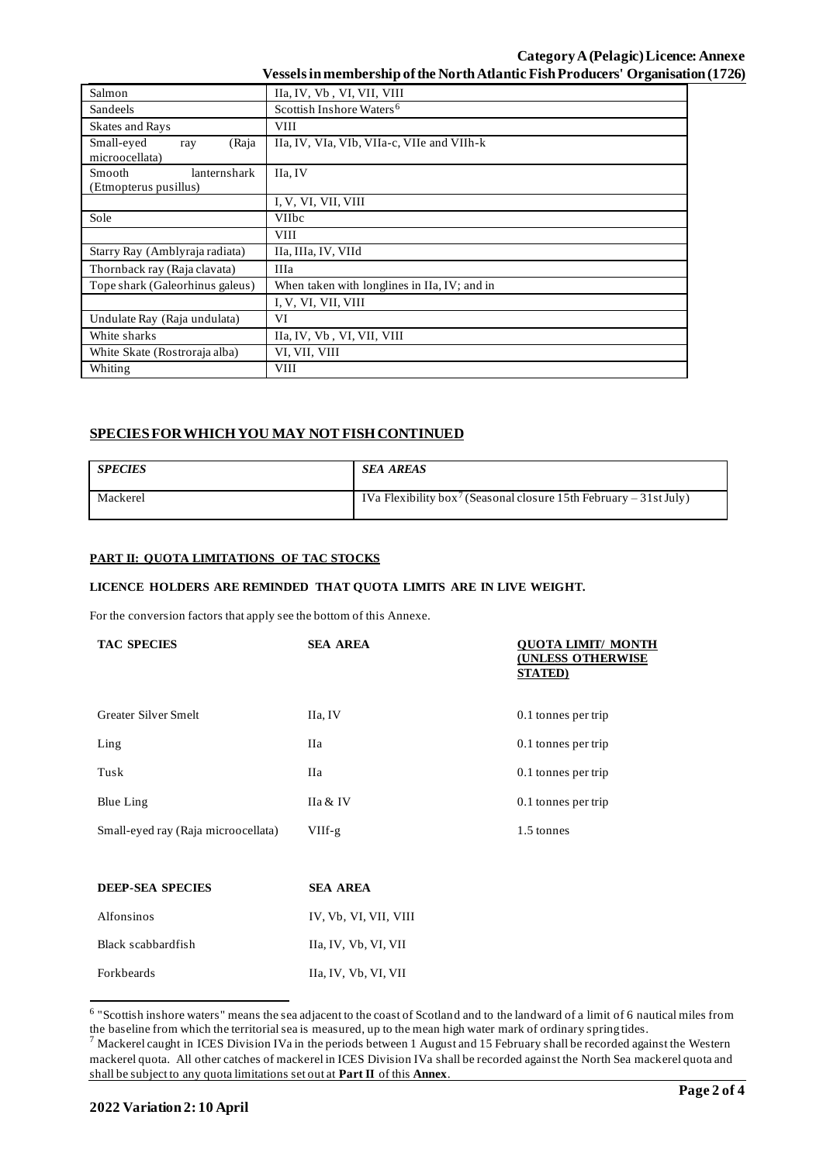| Salmon                                                 | IIa, IV, Vb, VI, VII, VIII                   |  |  |  |
|--------------------------------------------------------|----------------------------------------------|--|--|--|
| Sandeels                                               | Scottish Inshore Waters <sup>6</sup>         |  |  |  |
| Skates and Rays                                        | VIII                                         |  |  |  |
| Small-eyed<br>(Raja<br>ray<br>microocellata)           | IIa, IV, VIa, VIb, VIIa-c, VIIe and VIIh-k   |  |  |  |
| lanternshark<br><b>Smooth</b><br>(Etmopterus pusillus) | IIa. IV                                      |  |  |  |
|                                                        | I, V, VI, VII, VIII                          |  |  |  |
| Sole                                                   | <b>VIIbc</b>                                 |  |  |  |
|                                                        | VIII                                         |  |  |  |
| Starry Ray (Amblyraja radiata)                         | IIa, IIIa, IV, VIId                          |  |  |  |
| Thornback ray (Raja clavata)                           | <b>IIIa</b>                                  |  |  |  |
| Tope shark (Galeorhinus galeus)                        | When taken with longlines in IIa, IV; and in |  |  |  |
|                                                        | I, V, VI, VII, VIII                          |  |  |  |
| Undulate Ray (Raja undulata)                           | VI                                           |  |  |  |
| White sharks                                           | IIa, IV, Vb, VI, VII, VIII                   |  |  |  |
| White Skate (Rostroraja alba)                          | VI, VII, VIII                                |  |  |  |
| Whiting                                                | <b>VIII</b>                                  |  |  |  |

# **SPECIES FOR WHICH YOU MAY NOT FISH CONTINUED**

| <b>SPECIES</b> | <b>SEA AREAS</b>                                                                                |
|----------------|-------------------------------------------------------------------------------------------------|
| Mackerel       | IVa Flexibility box <sup><math>\prime</math></sup> (Seasonal closure 15th February – 31st July) |

## **PART II: QUOTA LIMITATIONS OF TAC STOCKS**

## **LICENCE HOLDERS ARE REMINDED THAT QUOTA LIMITS ARE IN LIVE WEIGHT.**

For the conversion factors that apply see the bottom of this Annexe.

| <b>TAC SPECIES</b>                  | <b>SEA AREA</b> | UOTA LIMIT/ MONTH<br><b>(UNLESS OTHERWISE</b><br><b>STATED)</b> |
|-------------------------------------|-----------------|-----------------------------------------------------------------|
| Greater Silver Smelt                | IIa, IV         | 0.1 tonnes per trip                                             |
| Ling                                | <b>IIa</b>      | 0.1 tonnes per trip                                             |
| Tusk                                | <b>IIa</b>      | 0.1 tonnes per trip                                             |
| Blue Ling                           | IIa & IV        | 0.1 tonnes per trip                                             |
| Small-eyed ray (Raja microocellata) | $VIIf-g$        | 1.5 tonnes                                                      |

| <b>DEEP-SEA SPECIES</b> | SEA AREA              |  |  |
|-------------------------|-----------------------|--|--|
| Alfonsinos              | IV, Vb, VI, VII, VIII |  |  |
| Black scabbardfish      | IIa, IV, Vb, VI, VII  |  |  |
| Forkbeards              | Ha, IV, Vb, VI, VII   |  |  |

<sup>&</sup>lt;sup>6</sup> "Scottish inshore waters" means the sea adjacent to the coast of Scotland and to the landward of a limit of 6 nautical miles from the baseline from which the territorial sea is measured, up to the mean high water mark of ordinary spring tides.

 $^7$  Mackerel caught in ICES Division IVa in the periods between 1 August and 15 February shall be recorded against the Western mackerel quota. All other catches of mackerel in ICES Division IVa shall be recorded against the North Sea mackerel quota and shall be subject to any quota limitations set out at **Part II** of this **Annex**.